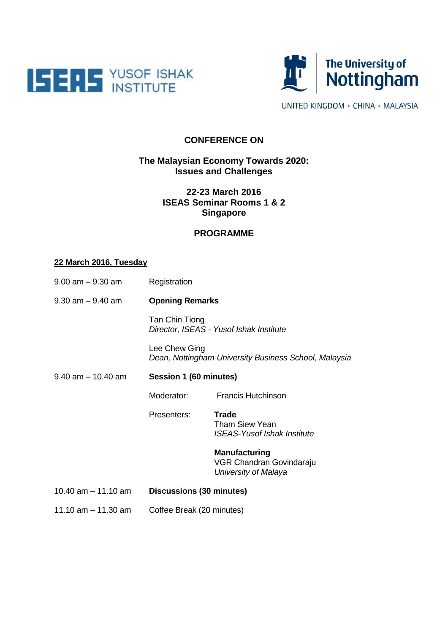



UNITED KINGDOM · CHINA · MALAYSIA

### **CONFERENCE ON**

### **The Malaysian Economy Towards 2020: Issues and Challenges**

## **22-23 March 2016 ISEAS Seminar Rooms 1 & 2 Singapore**

#### **PROGRAMME**

#### **22 March 2016, Tuesday**

| $9.00$ am $-9.30$ am  | Registration                                                           |                                                                          |
|-----------------------|------------------------------------------------------------------------|--------------------------------------------------------------------------|
| $9.30$ am $-9.40$ am  | <b>Opening Remarks</b>                                                 |                                                                          |
|                       | Tan Chin Tiong<br>Director, ISEAS - Yusof Ishak Institute              |                                                                          |
|                       | Lee Chew Ging<br>Dean, Nottingham University Business School, Malaysia |                                                                          |
| $9.40$ am $-10.40$ am | Session 1 (60 minutes)                                                 |                                                                          |
|                       | Moderator:                                                             | <b>Francis Hutchinson</b>                                                |
|                       | Presenters:                                                            | Trade<br><b>Tham Siew Yean</b><br><b>ISEAS-Yusof Ishak Institute</b>     |
|                       |                                                                        | <b>Manufacturing</b><br>VGR Chandran Govindaraju<br>University of Malaya |
| 10.40 $am - 11.10$ am | Discussions (30 minutes)                                               |                                                                          |
| 11.10 $am - 11.30$ am | Coffee Break (20 minutes)                                              |                                                                          |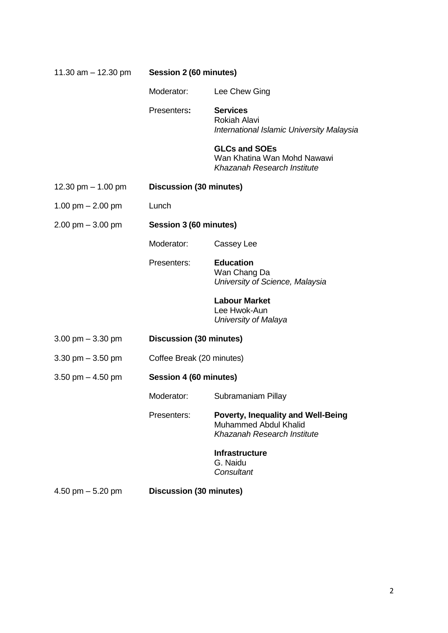| 11.30 $am - 12.30$ pm | Session 2 (60 minutes)         |                                                                                                   |
|-----------------------|--------------------------------|---------------------------------------------------------------------------------------------------|
|                       | Moderator:                     | Lee Chew Ging                                                                                     |
|                       | Presenters:                    | <b>Services</b><br><b>Rokiah Alavi</b><br>International Islamic University Malaysia               |
|                       |                                | <b>GLCs and SOEs</b><br>Wan Khatina Wan Mohd Nawawi<br>Khazanah Research Institute                |
| 12.30 pm $-$ 1.00 pm  | Discussion (30 minutes)        |                                                                                                   |
| 1.00 pm $- 2.00$ pm   | Lunch                          |                                                                                                   |
| $2.00$ pm $-3.00$ pm  | Session 3 (60 minutes)         |                                                                                                   |
|                       | Moderator:                     | Cassey Lee                                                                                        |
|                       | Presenters:                    | <b>Education</b><br>Wan Chang Da<br>University of Science, Malaysia                               |
|                       |                                | <b>Labour Market</b><br>Lee Hwok-Aun<br>University of Malaya                                      |
| 3.00 pm $-$ 3.30 pm   | <b>Discussion (30 minutes)</b> |                                                                                                   |
| 3.30 pm $-$ 3.50 pm   | Coffee Break (20 minutes)      |                                                                                                   |
| 3.50 pm $-$ 4.50 pm   | Session 4 (60 minutes)         |                                                                                                   |
|                       | Moderator:                     | Subramaniam Pillay                                                                                |
|                       | Presenters:                    | <b>Poverty, Inequality and Well-Being</b><br>Muhammed Abdul Khalid<br>Khazanah Research Institute |
|                       |                                | <b>Infrastructure</b><br>G. Naidu<br>Consultant                                                   |
| 4.50 pm $-$ 5.20 pm   | <b>Discussion (30 minutes)</b> |                                                                                                   |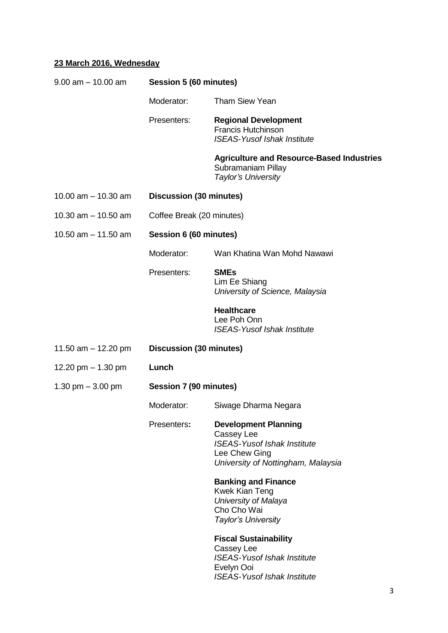# **23 March 2016, Wednesday**

| $9.00$ am $-10.00$ am | Session 5 (60 minutes)    |                                                                                                                                        |  |
|-----------------------|---------------------------|----------------------------------------------------------------------------------------------------------------------------------------|--|
|                       | Moderator:                | <b>Tham Siew Yean</b>                                                                                                                  |  |
|                       | Presenters:               | <b>Regional Development</b><br><b>Francis Hutchinson</b><br><b>ISEAS-Yusof Ishak Institute</b>                                         |  |
|                       |                           | <b>Agriculture and Resource-Based Industries</b><br>Subramaniam Pillay<br>Taylor's University                                          |  |
| 10.00 $am - 10.30 am$ | Discussion (30 minutes)   |                                                                                                                                        |  |
| 10.30 $am - 10.50$ am | Coffee Break (20 minutes) |                                                                                                                                        |  |
| 10.50 $am - 11.50$ am |                           | Session 6 (60 minutes)                                                                                                                 |  |
|                       | Moderator:                | Wan Khatina Wan Mohd Nawawi                                                                                                            |  |
|                       | Presenters:               | <b>SMEs</b><br>Lim Ee Shiang<br>University of Science, Malaysia                                                                        |  |
|                       |                           | <b>Healthcare</b><br>Lee Poh Onn<br><b>ISEAS-Yusof Ishak Institute</b>                                                                 |  |
| 11.50 am $-$ 12.20 pm | Discussion (30 minutes)   |                                                                                                                                        |  |
| 12.20 pm $-$ 1.30 pm  | Lunch                     |                                                                                                                                        |  |
| 1.30 pm $-$ 3.00 pm   | Session 7 (90 minutes)    |                                                                                                                                        |  |
|                       | Moderator:                | Siwage Dharma Negara                                                                                                                   |  |
|                       | Presenters:               | <b>Development Planning</b><br>Cassey Lee<br><b>ISEAS-Yusof Ishak Institute</b><br>Lee Chew Ging<br>University of Nottingham, Malaysia |  |
|                       |                           | <b>Banking and Finance</b><br><b>Kwek Kian Teng</b><br>University of Malaya<br>Cho Cho Wai<br>Taylor's University                      |  |
|                       |                           | <b>Fiscal Sustainability</b><br>Cassey Lee<br><b>ISEAS-Yusof Ishak Institute</b><br>Evelyn Ooi<br><b>ISEAS-Yusof Ishak Institute</b>   |  |